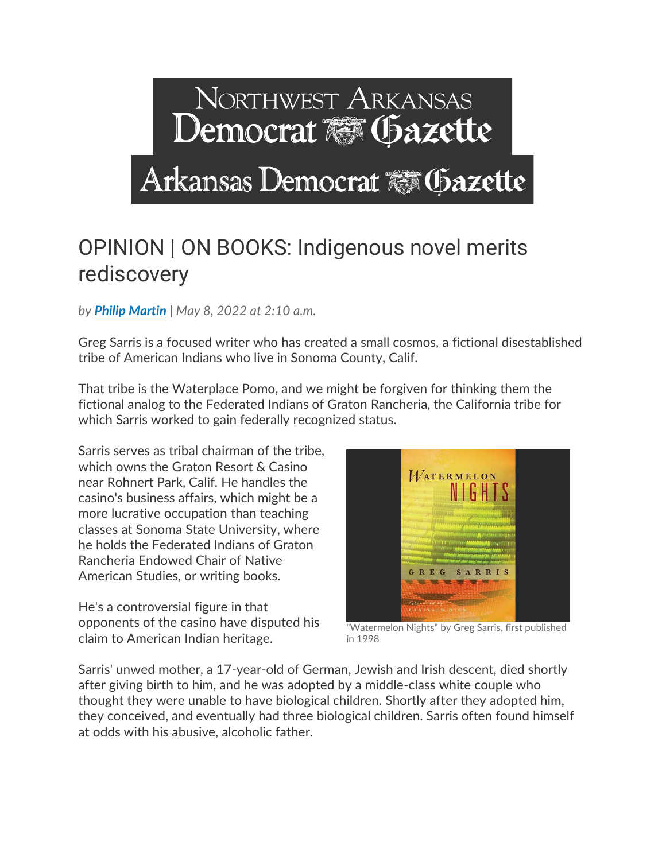## NORTHWEST ARKANSAS Democrat & Gazette Arkansas Democrat & Gazette

## OPINION | ON BOOKS: Indigenous novel merits rediscovery

*by [Philip Martin](https://www.arkansasonline.com/staff/philip-martin/) | May 8, 2022 at 2:10 a.m.*

Greg Sarris is a focused writer who has created a small cosmos, a fictional disestablished tribe of American Indians who live in Sonoma County, Calif.

That tribe is the Waterplace Pomo, and we might be forgiven for thinking them the fictional analog to the Federated Indians of Graton Rancheria, the California tribe for which Sarris worked to gain federally recognized status.

Sarris serves as tribal chairman of the tribe, which owns the Graton Resort & Casino near Rohnert Park, Calif. He handles the casino's business affairs, which might be a more lucrative occupation than teaching classes at Sonoma State University, where he holds the Federated Indians of Graton Rancheria Endowed Chair of Native American Studies, or writing books.

He's a controversial figure in that opponents of the casino have disputed his claim to American Indian heritage.



"Watermelon Nights" by Greg Sarris, first published in 1998

Sarris' unwed mother, a 17-year-old of German, Jewish and Irish descent, died shortly after giving birth to him, and he was adopted by a middle-class white couple who thought they were unable to have biological children. Shortly after they adopted him, they conceived, and eventually had three biological children. Sarris often found himself at odds with his abusive, alcoholic father.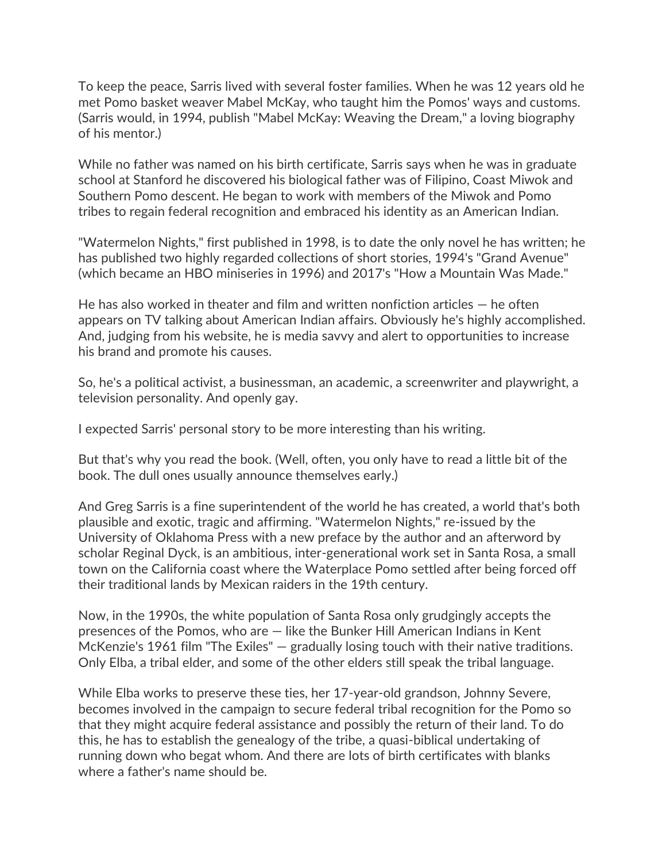To keep the peace, Sarris lived with several foster families. When he was 12 years old he met Pomo basket weaver Mabel McKay, who taught him the Pomos' ways and customs. (Sarris would, in 1994, publish "Mabel McKay: Weaving the Dream," a loving biography of his mentor.)

While no father was named on his birth certificate, Sarris says when he was in graduate school at Stanford he discovered his biological father was of Filipino, Coast Miwok and Southern Pomo descent. He began to work with members of the Miwok and Pomo tribes to regain federal recognition and embraced his identity as an American Indian.

"Watermelon Nights," first published in 1998, is to date the only novel he has written; he has published two highly regarded collections of short stories, 1994's "Grand Avenue" (which became an HBO miniseries in 1996) and 2017's "How a Mountain Was Made."

He has also worked in theater and film and written nonfiction articles  $-$  he often appears on TV talking about American Indian affairs. Obviously he's highly accomplished. And, judging from his website, he is media savvy and alert to opportunities to increase his brand and promote his causes.

So, he's a political activist, a businessman, an academic, a screenwriter and playwright, a television personality. And openly gay.

I expected Sarris' personal story to be more interesting than his writing.

But that's why you read the book. (Well, often, you only have to read a little bit of the book. The dull ones usually announce themselves early.)

And Greg Sarris is a fine superintendent of the world he has created, a world that's both plausible and exotic, tragic and affirming. "Watermelon Nights," re-issued by the University of Oklahoma Press with a new preface by the author and an afterword by scholar Reginal Dyck, is an ambitious, inter-generational work set in Santa Rosa, a small town on the California coast where the Waterplace Pomo settled after being forced off their traditional lands by Mexican raiders in the 19th century.

Now, in the 1990s, the white population of Santa Rosa only grudgingly accepts the presences of the Pomos, who are — like the Bunker Hill American Indians in Kent McKenzie's 1961 film "The Exiles" – gradually losing touch with their native traditions. Only Elba, a tribal elder, and some of the other elders still speak the tribal language.

While Elba works to preserve these ties, her 17-year-old grandson, Johnny Severe, becomes involved in the campaign to secure federal tribal recognition for the Pomo so that they might acquire federal assistance and possibly the return of their land. To do this, he has to establish the genealogy of the tribe, a quasi-biblical undertaking of running down who begat whom. And there are lots of birth certificates with blanks where a father's name should be.